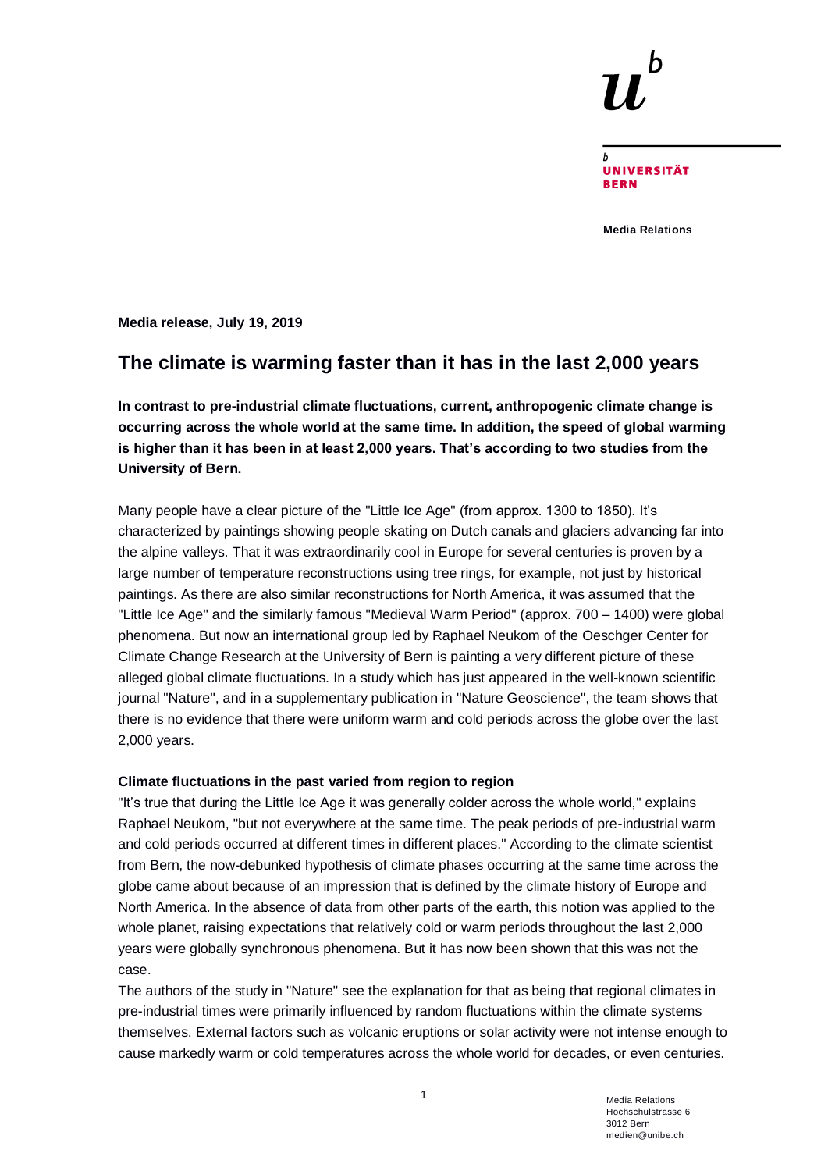**UNIVERSITÄT RFRN** 

**Media Relations**

**Media release, July 19, 2019**

# **The climate is warming faster than it has in the last 2,000 years**

**In contrast to pre-industrial climate fluctuations, current, anthropogenic climate change is occurring across the whole world at the same time. In addition, the speed of global warming is higher than it has been in at least 2,000 years. That's according to two studies from the University of Bern.**

Many people have a clear picture of the "Little Ice Age" (from approx. 1300 to 1850). It's characterized by paintings showing people skating on Dutch canals and glaciers advancing far into the alpine valleys. That it was extraordinarily cool in Europe for several centuries is proven by a large number of temperature reconstructions using tree rings, for example, not just by historical paintings. As there are also similar reconstructions for North America, it was assumed that the "Little Ice Age" and the similarly famous "Medieval Warm Period" (approx. 700 – 1400) were global phenomena. But now an international group led by Raphael Neukom of the Oeschger Center for Climate Change Research at the University of Bern is painting a very different picture of these alleged global climate fluctuations. In a study which has just appeared in the well-known scientific journal "Nature", and in a supplementary publication in "Nature Geoscience", the team shows that there is no evidence that there were uniform warm and cold periods across the globe over the last 2,000 years.

## **Climate fluctuations in the past varied from region to region**

"It's true that during the Little Ice Age it was generally colder across the whole world," explains Raphael Neukom, "but not everywhere at the same time. The peak periods of pre-industrial warm and cold periods occurred at different times in different places." According to the climate scientist from Bern, the now-debunked hypothesis of climate phases occurring at the same time across the globe came about because of an impression that is defined by the climate history of Europe and North America. In the absence of data from other parts of the earth, this notion was applied to the whole planet, raising expectations that relatively cold or warm periods throughout the last 2,000 years were globally synchronous phenomena. But it has now been shown that this was not the case.

The authors of the study in "Nature" see the explanation for that as being that regional climates in pre-industrial times were primarily influenced by random fluctuations within the climate systems themselves. External factors such as volcanic eruptions or solar activity were not intense enough to cause markedly warm or cold temperatures across the whole world for decades, or even centuries.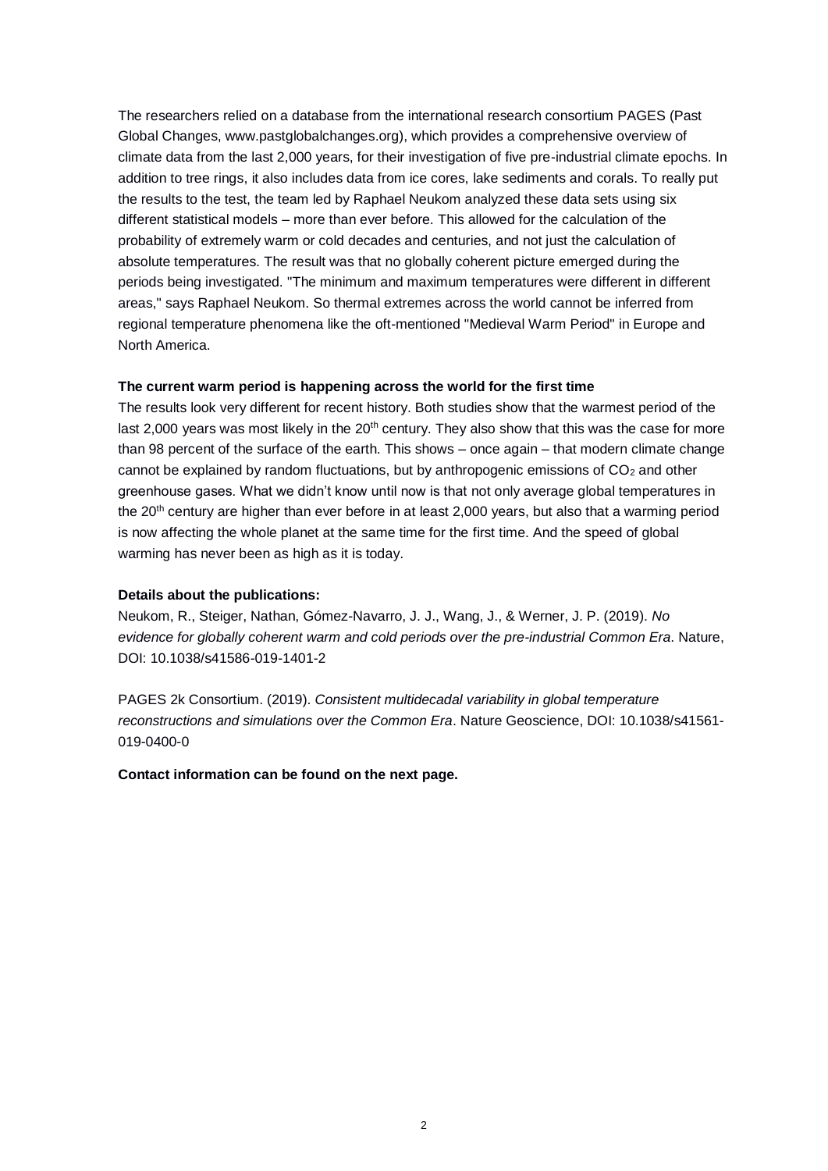The researchers relied on a database from the international research consortium PAGES (Past Global Changes, www.pastglobalchanges.org), which provides a comprehensive overview of climate data from the last 2,000 years, for their investigation of five pre-industrial climate epochs. In addition to tree rings, it also includes data from ice cores, lake sediments and corals. To really put the results to the test, the team led by Raphael Neukom analyzed these data sets using six different statistical models – more than ever before. This allowed for the calculation of the probability of extremely warm or cold decades and centuries, and not just the calculation of absolute temperatures. The result was that no globally coherent picture emerged during the periods being investigated. "The minimum and maximum temperatures were different in different areas," says Raphael Neukom. So thermal extremes across the world cannot be inferred from regional temperature phenomena like the oft-mentioned "Medieval Warm Period" in Europe and North America.

# **The current warm period is happening across the world for the first time**

The results look very different for recent history. Both studies show that the warmest period of the last 2,000 years was most likely in the 20<sup>th</sup> century. They also show that this was the case for more than 98 percent of the surface of the earth. This shows – once again – that modern climate change cannot be explained by random fluctuations, but by anthropogenic emissions of  $CO<sub>2</sub>$  and other greenhouse gases. What we didn't know until now is that not only average global temperatures in the 20th century are higher than ever before in at least 2,000 years, but also that a warming period is now affecting the whole planet at the same time for the first time. And the speed of global warming has never been as high as it is today.

## **Details about the publications:**

Neukom, R., Steiger, Nathan, Gómez-Navarro, J. J., Wang, J., & Werner, J. P. (2019). *No evidence for globally coherent warm and cold periods over the pre-industrial Common Era*. Nature, DOI: 10.1038/s41586-019-1401-2

PAGES 2k Consortium. (2019). *Consistent multidecadal variability in global temperature reconstructions and simulations over the Common Era*. Nature Geoscience, DOI: 10.1038/s41561- 019-0400-0

**Contact information can be found on the next page.**